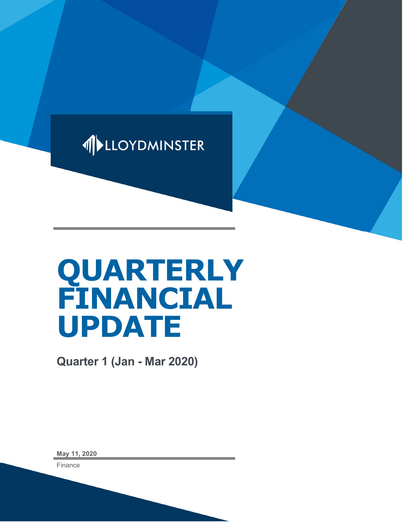

# QUARTERLY FINANCIAL UPDATE

Quarter 1 (Jan - Mar 2020)

May 11, 2020

Finance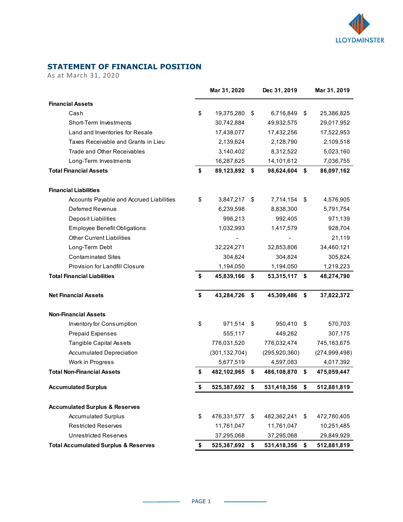

## STATEMENT OF FINANCIAL POSITION

|                                                                                 |    |                              |                 | <b>LLOYDMINSTER</b> |
|---------------------------------------------------------------------------------|----|------------------------------|-----------------|---------------------|
|                                                                                 |    |                              |                 |                     |
|                                                                                 |    |                              |                 |                     |
| <b>STATEMENT OF FINANCIAL POSITION</b>                                          |    |                              |                 |                     |
| As at March 31, 2020                                                            |    |                              |                 |                     |
|                                                                                 |    |                              |                 |                     |
|                                                                                 |    | Mar 31, 2020                 | Dec 31, 2019    | Mar 31, 2019        |
| <b>Financial Assets</b>                                                         |    |                              |                 |                     |
| Cash                                                                            | \$ | 19,375,280 \$                | 6,716,849 \$    | 25,386,825          |
| Short-Term Investments                                                          |    | 30,742,884                   | 49,932,575      | 29,017,952          |
| Land and Inventories for Resale                                                 |    | 17,438,077                   | 17,432,256      | 17,522,953          |
| Taxes Receivable and Grants in Lieu                                             |    | 2,139,624                    | 2,128,790       | 2,109,518           |
| Trade and Other Receivables                                                     |    | 3,140,402                    | 8,312,522       | 5,023,160           |
| Long-Term Investments                                                           |    | 16,287,625                   | 14,101,612      | 7,036,755           |
| <b>Total Financial Assets</b>                                                   | S  | 89,123,892 \$                | 98,624,604 \$   | 86,097,162          |
|                                                                                 |    |                              |                 |                     |
| <b>Financial Liabilities</b>                                                    |    |                              |                 |                     |
| Accounts Payable and Accrued Liabilities                                        | \$ | 3,847,217 \$                 | 7,714,154 \$    | 4,576,905           |
| Deferred Revenue                                                                |    | 6,239,598                    | 8,838,300       | 5,791,754           |
| Deposit Liabilities                                                             |    | 996,213                      | 992,405         | 971,139             |
| Employee Benefit Obligations                                                    |    | 1,032,993                    | 1,417,579       | 928,704             |
| <b>Other Current Liabilities</b>                                                |    |                              |                 | 21,119              |
| Long-Term Debt                                                                  |    | 32,224,271                   | 32,853,806      | 34,460,121          |
| <b>Contaminated Sites</b>                                                       |    | 304,824                      | 304,824         | 305,824             |
| Provision for Landfill Closure                                                  |    | 1,194,050                    | 1,194,050       | 1,219,223           |
| <b>Total Financial Liabilities</b>                                              | \$ | 45,839,166 \$                | 53,315,117 \$   | 48,274,790          |
| <b>Net Financial Assets</b>                                                     | \$ | 43,284,726 \$                | 45,309,486 \$   | 37,822,372          |
|                                                                                 |    |                              |                 |                     |
| <b>Non-Financial Assets</b>                                                     |    |                              |                 |                     |
| Inventory for Consumption                                                       | \$ | 971,514 \$                   | 950,410 \$      | 570,703             |
| <b>Prepaid Expenses</b>                                                         |    | 555,117                      | 449,262         | 307,175             |
| Tangible Capital Assets                                                         |    | 776,031,520                  | 776,032,474     | 745,163,675         |
| <b>Accumulated Depreciation</b>                                                 |    | (301, 132, 704)              | (295, 920, 360) | (274, 999, 498)     |
| Work in Progress                                                                |    | 5,677,519                    | 4,597,083       | 4,017,392           |
| <b>Total Non-Financial Assets</b>                                               |    | 482,102,965 \$               | 486,108,870 \$  | 475,059,447         |
| <b>Accumulated Surplus</b>                                                      |    | 525,387,692 \$               | 531,418,356 \$  | 512,881,819         |
| <b>Accumulated Surplus &amp; Reserves</b>                                       |    |                              |                 |                     |
| <b>Accumulated Surplus</b>                                                      |    |                              |                 |                     |
|                                                                                 | \$ | 476,331,577 \$               | 482,362,241 \$  | 472,780,405         |
| <b>Restricted Reserves</b>                                                      |    | 11,761,047                   | 11,761,047      | 10,251,485          |
| <b>Unrestricted Reserves</b><br><b>Total Accumulated Surplus &amp; Reserves</b> |    | 37,295,068<br>525,387,692 \$ | 37,295,068      | 29,849,929          |
|                                                                                 |    |                              | 531,418,356 \$  | 512,881,819         |

 $\overline{\phantom{a}}$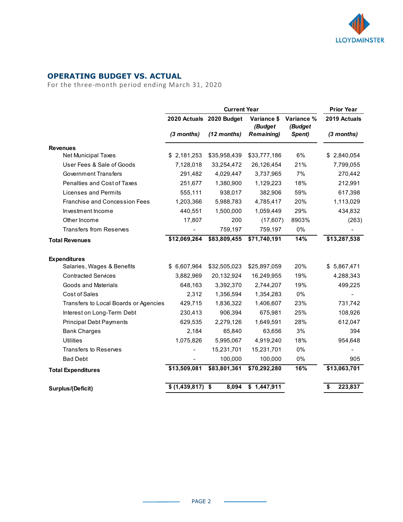

#### OPERATING BUDGET VS. ACTUAL

|                                                  |                   |                          |                        |                       | <b>LLOYDMINSTER</b> |
|--------------------------------------------------|-------------------|--------------------------|------------------------|-----------------------|---------------------|
|                                                  |                   |                          |                        |                       |                     |
|                                                  |                   |                          |                        |                       |                     |
|                                                  |                   |                          |                        |                       |                     |
| <b>OPERATING BUDGET VS. ACTUAL</b>               |                   |                          |                        |                       |                     |
| For the three-month period ending March 31, 2020 |                   |                          |                        |                       |                     |
|                                                  |                   |                          |                        |                       |                     |
|                                                  |                   |                          |                        |                       |                     |
|                                                  |                   | <b>Current Year</b>      |                        |                       | <b>Prior Year</b>   |
|                                                  |                   | 2020 Actuals 2020 Budget | Variance \$<br>(Budget | Variance %<br>(Budget | 2019 Actuals        |
|                                                  | (3 months)        | $(12$ months)            | <b>Remaining)</b>      | Spent)                | (3 months)          |
|                                                  |                   |                          |                        |                       |                     |
| <b>Revenues</b><br>Net Municipal Taxes           | \$2,181,253       | \$35,958,439             | \$33,777,186           | 6%                    | \$2,840,054         |
| User Fees & Sale of Goods                        | 7,128,018         | 33,254,472               | 26,126,454             | 21%                   | 7,799,055           |
| <b>Government Transfers</b>                      | 291,482           | 4,029,447                | 3,737,965              | 7%                    | 270,442             |
| Penalties and Cost of Taxes                      | 251,677           | 1,380,900                | 1,129,223              | 18%                   | 212,991             |
| <b>Licenses and Permits</b>                      | 555,111           | 938,017                  | 382,906                | 59%                   | 617,398             |
| Franchise and Concession Fees                    | 1,203,366         | 5,988,783                | 4,785,417              | 20%                   | 1,113,029           |
| Investment Income                                | 440,551           | 1,500,000                | 1,059,449              | 29%                   | 434,832             |
| Other Income                                     | 17,807            | 200                      | (17,607)               | 8903%                 | (263)               |
| Transfers from Reserves                          |                   | 759,197                  | 759,197                | 0%                    |                     |
| <b>Total Revenues</b>                            | \$12,069,264      | \$83,809,455             | \$71,740,191           | 14%                   | \$13,287,538        |
|                                                  |                   |                          |                        |                       |                     |
| <b>Expenditures</b>                              |                   |                          |                        |                       |                     |
| Salaries, Wages & Benefits                       | \$ 6,607,964      | \$32,505,023             | \$25,897,059           | 20%                   | \$5,867,471         |
| <b>Contracted Services</b>                       | 3,882,969         | 20,132,924               | 16,249,955             | 19%                   | 4,288,343           |
| <b>Goods and Materials</b>                       | 648,163           | 3,392,370                | 2,744,207              | 19%                   | 499,225             |
| Cost of Sales                                    | 2,312             | 1,356,594                | 1,354,283              | $0\%$                 | $\blacksquare$      |
| Transfers to Local Boards or Agencies            | 429,715           | 1,836,322                | 1,406,607              | 23%                   | 731,742             |
| Interest on Long-Term Debt                       | 230,413           | 906,394                  | 675,981                | 25%                   | 108,926             |
| Principal Debt Payments                          | 629,535           | 2,279,126                | 1,649,591              | 28%                   | 612,047             |
| <b>Bank Charges</b>                              | 2,184             | 65,840                   | 63,656                 | 3%                    | 394                 |
| <b>Utilities</b>                                 | 1,075,826         | 5,995,067                | 4,919,240              | 18%                   | 954,648             |
| Transfers to Reserves                            |                   | 15,231,701               | 15,231,701             | 0%                    |                     |
| <b>Bad Debt</b>                                  | $\blacksquare$    | 100,000                  | 100,000                | 0%                    | 905                 |
| <b>Total Expenditures</b>                        | \$13,509,081      | \$83,801,361             | \$70,292,280           | 16%                   | \$13,063,701        |
|                                                  |                   |                          |                        |                       |                     |
|                                                  | $$(1,439,817)$ \$ | 8,094                    | \$1,447,911            |                       |                     |
| Surplus/(Deficit)                                |                   |                          |                        |                       | 223,837             |

 $\sim$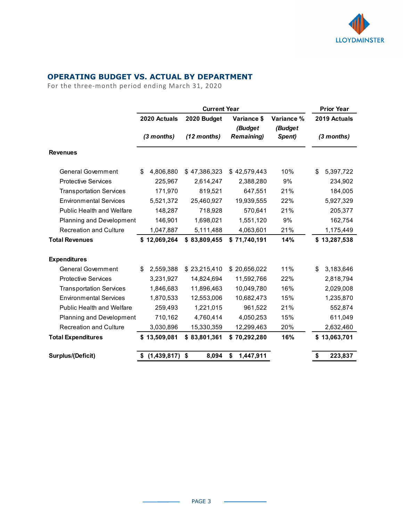

#### OPERATING BUDGET VS. ACTUAL BY DEPARTMENT

| <b>OPERATING BUDGET VS. ACTUAL BY DEPARTMENT</b><br>For the three-month period ending March 31, 2020 |                              |                            |                                        |                       |                        |
|------------------------------------------------------------------------------------------------------|------------------------------|----------------------------|----------------------------------------|-----------------------|------------------------|
|                                                                                                      |                              |                            |                                        |                       | <b>LLOYDMINSTER</b>    |
|                                                                                                      |                              |                            |                                        |                       |                        |
|                                                                                                      |                              |                            |                                        |                       |                        |
|                                                                                                      |                              |                            |                                        |                       |                        |
|                                                                                                      |                              |                            |                                        |                       |                        |
|                                                                                                      |                              |                            |                                        |                       |                        |
|                                                                                                      |                              |                            |                                        |                       |                        |
|                                                                                                      |                              |                            |                                        |                       |                        |
|                                                                                                      |                              |                            |                                        |                       |                        |
|                                                                                                      |                              | <b>Current Year</b>        |                                        |                       | <b>Prior Year</b>      |
|                                                                                                      | 2020 Actuals                 | 2020 Budget                | Variance \$<br>(Budget                 | Variance %<br>(Budget | 2019 Actuals           |
|                                                                                                      | (3 months)                   | (12 months)                | <b>Remaining)</b>                      | Spent)                | $(3$ months)           |
|                                                                                                      |                              |                            |                                        |                       |                        |
| <b>Revenues</b>                                                                                      |                              |                            |                                        |                       |                        |
| <b>General Government</b>                                                                            | \$4,806,880                  | \$47,386,323               | \$42,579,443                           | 10%                   | 5,397,722<br>\$        |
| <b>Protective Services</b>                                                                           | 225,967                      | 2,614,247                  | 2,388,280                              | 9%                    | 234,902                |
| <b>Transportation Services</b>                                                                       | 171,970                      | 819,521                    | 647,551                                | 21%                   | 184,005                |
| <b>Environmental Services</b>                                                                        | 5,521,372                    | 25,460,927                 | 19,939,555                             | 22%                   | 5,927,329              |
| Public Health and Welfare                                                                            | 148,287                      | 718,928                    | 570,641                                | 21%                   | 205,377                |
| Planning and Development                                                                             | 146,901                      | 1,698,021                  | 1,551,120                              | 9%                    | 162,754                |
| <b>Recreation and Culture</b>                                                                        | 1,047,887                    | 5,111,488                  | 4,063,601                              | 21%                   | 1,175,449              |
| <b>Total Revenues</b>                                                                                | \$12,069,264                 | \$83,809,455               | \$71,740,191                           | 14%                   | \$13,287,538           |
|                                                                                                      |                              |                            |                                        |                       |                        |
| <b>Expenditures</b>                                                                                  |                              |                            |                                        |                       |                        |
| <b>General Government</b><br><b>Protective Services</b>                                              | 2,559,388<br>\$<br>3,231,927 | \$23,215,410<br>14,824,694 | \$20,656,022                           | 11%<br>22%            | 3,183,646<br>\$        |
| <b>Transportation Services</b>                                                                       | 1,846,683                    | 11,896,463                 | 11,592,766<br>10,049,780               | 16%                   | 2,818,794<br>2,029,008 |
| <b>Environmental Services</b>                                                                        | 1,870,533                    | 12,553,006                 | 10,682,473                             | 15%                   | 1,235,870              |
| Public Health and Welfare                                                                            | 259,493                      | 1,221,015                  | 961,522                                | 21%                   | 552,874                |
| Planning and Development                                                                             | 710,162                      | 4,760,414                  | 4,050,253                              | 15%                   | 611,049                |
| <b>Recreation and Culture</b>                                                                        | 3,030,896                    | 15,330,359                 | 12,299,463                             | 20%                   | 2,632,460              |
| <b>Total Expenditures</b>                                                                            | \$13,509,081                 | \$83,801,361               | \$70,292,280                           | 16%                   | \$13,063,701           |
|                                                                                                      |                              |                            |                                        |                       |                        |
| Surplus/(Deficit)                                                                                    | $$(1,439,817)$ \$            | 8,094                      | 1,447,911<br>$\boldsymbol{\mathsf{s}}$ |                       | 223,837<br>S           |

 $\overline{\phantom{a}}$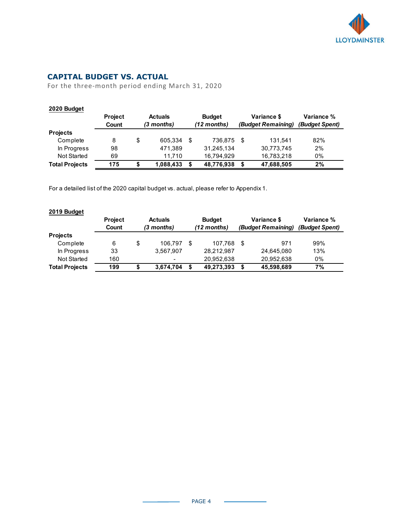

## CAPITAL BUDGET VS. ACTUAL

|                                                                                  |                                  |                                                  |                                                                                        |                          |                | <b>LLOYDMINSTER</b> |
|----------------------------------------------------------------------------------|----------------------------------|--------------------------------------------------|----------------------------------------------------------------------------------------|--------------------------|----------------|---------------------|
|                                                                                  |                                  |                                                  |                                                                                        |                          |                |                     |
|                                                                                  |                                  |                                                  |                                                                                        |                          |                |                     |
|                                                                                  |                                  |                                                  |                                                                                        |                          |                |                     |
|                                                                                  |                                  |                                                  |                                                                                        |                          |                |                     |
|                                                                                  |                                  |                                                  |                                                                                        |                          |                |                     |
|                                                                                  | <b>CAPITAL BUDGET VS. ACTUAL</b> |                                                  |                                                                                        |                          |                |                     |
|                                                                                  |                                  |                                                  |                                                                                        |                          |                |                     |
|                                                                                  |                                  | For the three-month period ending March 31, 2020 |                                                                                        |                          |                |                     |
|                                                                                  |                                  |                                                  |                                                                                        |                          |                |                     |
|                                                                                  |                                  |                                                  |                                                                                        |                          |                |                     |
| 2020 Budget                                                                      |                                  |                                                  |                                                                                        |                          |                |                     |
|                                                                                  | Project                          | <b>Actuals</b>                                   | <b>Budget</b>                                                                          | Variance \$              | Variance %     |                     |
|                                                                                  | Count                            | (3 months)                                       | (12 months)                                                                            | (Budget Remaining)       | (Budget Spent) |                     |
| Projects                                                                         |                                  |                                                  |                                                                                        |                          |                |                     |
| Complete                                                                         | 8                                | \$<br>605,334 \$                                 | 736,875 \$                                                                             | 131,541                  | 82%            |                     |
| In Progress                                                                      | 98                               | 471,389                                          | 31,245,134                                                                             | 30,773,745               | 2%             |                     |
| Not Started                                                                      | 69                               | 11,710                                           | 16,794,929                                                                             | 16,783,218               | 0%             |                     |
|                                                                                  |                                  |                                                  |                                                                                        |                          |                |                     |
|                                                                                  |                                  |                                                  |                                                                                        |                          |                |                     |
|                                                                                  | $\frac{175}{175}$                | \$<br>1,088,433 \$                               | 48,776,938 \$                                                                          | 47,688,505               | 2%             |                     |
|                                                                                  |                                  |                                                  |                                                                                        |                          |                |                     |
|                                                                                  |                                  |                                                  |                                                                                        |                          |                |                     |
|                                                                                  |                                  |                                                  | For a detailed list of the 2020 capital budget vs. actual, please refer to Appendix 1. |                          |                |                     |
|                                                                                  |                                  |                                                  |                                                                                        |                          |                |                     |
|                                                                                  |                                  |                                                  |                                                                                        |                          |                |                     |
|                                                                                  |                                  |                                                  |                                                                                        |                          |                |                     |
|                                                                                  | Project                          | <b>Actuals</b>                                   | <b>Budget</b>                                                                          | Variance \$              | Variance %     |                     |
|                                                                                  | Count                            | (3 months)                                       | (12 months)                                                                            | (Budget Remaining)       | (Budget Spent) |                     |
|                                                                                  |                                  |                                                  |                                                                                        |                          |                |                     |
| Complete                                                                         | 6                                | \$<br>106,797 \$                                 | 107,768 \$                                                                             | 971                      | 99%            |                     |
| In Progress                                                                      | 33                               | 3,567,907                                        | 28,212,987                                                                             | 24,645,080               | 13%            |                     |
| Not Started                                                                      | 160                              |                                                  |                                                                                        |                          | $0\%$          |                     |
| <b>Total Projects</b><br>2019 Budget<br><b>Projects</b><br><b>Total Projects</b> | 199                              | \$<br>$3,674,704$ \$                             | 20,952,638<br>49,273,393 \$                                                            | 20,952,638<br>45,598,689 | 7%             |                     |

#### 2019 Budget

|                       | <b>Project</b> | <b>Actuals</b> |            |    | <b>Budget</b> | Variance \$        | Variance %     |  |  |
|-----------------------|----------------|----------------|------------|----|---------------|--------------------|----------------|--|--|
|                       | Count          |                | (3 months) |    | (12 months)   | (Budget Remaining) | (Budget Spent) |  |  |
| <b>Projects</b>       |                |                |            |    |               |                    |                |  |  |
| Complete              | 6              | \$             | 106.797    | \$ | 107.768       | 971                | 99%            |  |  |
| In Progress           | 33             |                | 3.567.907  |    | 28.212.987    | 24.645.080         | 13%            |  |  |
| Not Started           | 160            |                |            |    | 20.952.638    | 20.952.638         | 0%             |  |  |
| <b>Total Projects</b> | 199            | S              | 3,674,704  | S  | 49,273,393    | 45,598,689         | 7%             |  |  |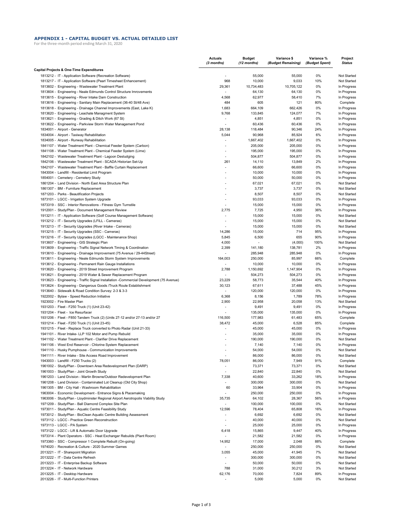#### **APPENDIX 1 - CAPITAL BUDGET VS. ACTUAL DETAILED LIST**

For the three-month period ending March 31, 2020

|                                                                                                                              | <b>Actuals</b><br>(3 months)    | <b>Budget</b><br>(12 months) | Variance \$<br>(Budget Remaining) | Variance %<br>(Budget Spent) | Project<br><b>Status</b>   |
|------------------------------------------------------------------------------------------------------------------------------|---------------------------------|------------------------------|-----------------------------------|------------------------------|----------------------------|
| Capital Projects & One-Time Expenditures                                                                                     |                                 |                              |                                   |                              |                            |
| 1813212 - IT - Application Software (Recreation Software)                                                                    |                                 | 55,000                       | 55,000                            | 0%                           | Not Started                |
| 1813217 - IT - Application Software (Pearl Timesheet Enhancement)                                                            | 968                             | 10,000                       | 9,033                             | 10%                          | Not Started                |
| 1813602 - Engineering - Wastewater Treatment Plant                                                                           | 29,361<br>٠                     | 10,734,483                   | 10,705,122                        | 0%                           | In Progress                |
| 1813604 - Engineering - Neale Edmunds Control Structure Imrovements<br>1813615 - Engineering - River Intake Dam Construction | 4,568                           | 64,130<br>62,977             | 64,130<br>58,410                  | 0%<br>7%                     | In Progress<br>In Progress |
| 1813616 - Engineering - Sanitary Main Replacement (36-40 St/48 Ave)                                                          | 484                             | 605                          | 121                               | 80%                          | Complete                   |
| 1813618 - Engineering - Drainage Channel Improvements (East, Lake K)                                                         | 1,683                           | 664,109                      | 662,426                           | 0%                           | In Progress                |
| 1813620 - Engineering - Leachate Managment System                                                                            | 9,768                           | 133,845                      | 124,077                           | 7%                           | In Progress                |
| 1813621 - Engineering - Grading & Ditch Work (67 St)                                                                         |                                 | 4,851                        | 4,851                             | 0%                           | In Progress                |
| 1813622 - Engineering - Parkview Storm Water Management Pond                                                                 |                                 | 60,436                       | 60,436                            | 0%                           | In Progress                |
| 1834001 - Airport - Generator                                                                                                | 28,138                          | 118,484                      | 90,346                            | 24%                          | In Progress                |
| 1834004 - Airport - Taxiway Rehabilitation                                                                                   | 5,044                           | 90,968                       | 85,924                            | 6%                           | In Progress                |
| 1834005 - Airport - Runway Rehabilitation                                                                                    | ٠                               | 1,667,402                    | 1,667,402                         | 0%                           | In Progress                |
| 1841107 - Water Treatment Plant - Chemical Feeder System (Carbon)                                                            |                                 | 205,000                      | 205,000                           | 0%                           | In Progress                |
| 1841108 - Water Treatment Plant - Chemical Feeder System (Lime)                                                              | ÷                               | 195,000                      | 195,000                           | 0%                           | In Progress                |
| 1842102 - Wastewater Treatment Plant - Lagoon Desludging                                                                     | $\overline{a}$                  | 504,877                      | 504,877                           | 0%                           | In Progress                |
| 1842106 - Wastewater Treatment Plant - SCADA Historian Set-Up                                                                | 261                             | 14,110                       | 13,849                            | 2%                           | In Progress                |
| 1842107 - Wastewater Treatment Plant - Baffle Curtain Replacement                                                            | ÷                               | 66,600                       | 66,600                            | 0%                           | In Progress                |
| 1843004 - Landfill - Residential Limit Program                                                                               |                                 | 10,000                       | 10,000                            | 0%                           | In Progress                |
| 1854001 - Cemetery - Cemetery Study                                                                                          |                                 | 50,000                       | 50,000                            | 0%                           | In Progress                |
| 1861204 - Land Division - North East Area Structure Plan                                                                     |                                 | 67,021                       | 67,021                            | 0%                           | Not Started                |
| 1861307 - BM - Furniture Replacement                                                                                         | $\overline{a}$                  | 3,737                        | 3,737                             | 0%                           | Not Started                |
| 1871203 - Parks - Beautification Projects                                                                                    |                                 | 8,507                        | 8,507                             | 0%                           | Not Started                |
| 1873101 - LGCC - Irrigation System Upgrade                                                                                   | ÷                               | 93,033                       | 93,033                            | 0%                           | In Progress                |
| 1873319 - SSC - Interior Renovations - Fitness Gym Turnstile                                                                 | 2,775                           | 15,000                       | 15,000                            | 0%<br>36%                    | In Progress                |
| 1912001 - Study/Plan - Document Management Review<br>1913211 - IT - Application Software (Golf Course Management Software)   | ÷                               | 7,725<br>15,000              | 4,950<br>15,000                   | 0%                           | In Progress<br>Not Started |
| 1913212 - IT - Security Upgrades (LFILL - Cameras)                                                                           |                                 | 15,000                       | 15,000                            | 0%                           | Not Started                |
| 1913213 - IT - Security Upgrades (River Intake - Cameras)                                                                    |                                 | 15,000                       | 15,000                            | 0%                           | Not Started                |
| 1913215 - IT - Security Upgrades (SSC - Cameras)                                                                             | 14,286                          | 15,000                       | 714                               | 95%                          | In Progress                |
| 1913216 - IT - Security Upgrades (LGCC - Maintenance Shop)                                                                   | 5,845                           | 6,500                        | 655                               | 90%                          | In Progress                |
| 1913607 - Engineering - GIS Strategic Plan                                                                                   | 4,000                           | $\overline{\phantom{a}}$     | (4,000)                           | 100%                         | Not Started                |
| 1913609 - Engineering - Traffic Signal Network Timing & Coordination                                                         | 2,399                           | 141,180                      | 138,781                           | 2%                           | In Progress                |
| 1913610 - Engineering - Drainage Improvement (75 Avenue / 29-44Street)                                                       |                                 | 285,948                      | 285,948                           | 0%                           | In Progress                |
| 1913611 - Engineering - Neale Edmunds Storm System Improvements                                                              | 164,003                         | 250,000                      | 85,997                            | 66%                          | Complete                   |
| 1913612 - Engineering - Permanent Rain Gauge Installations                                                                   | ٠                               | 10,000                       | 10,000                            | 0%                           | In Progress                |
| 1913620 - Engineering - 2019 Street Improvement Program                                                                      | 2,788                           | 1,150,692                    | 1,147,904                         | 0%                           | In Progress                |
| 1913621 - Engineering - 2019 Water & Sewer Replacement Program                                                               | ÷,                              | 504,273                      | 504,273                           | 0%                           | In Progress                |
| 1913623 - Engineering - Traffic Signal Installation - Commercial Development (75 Avenue)                                     | 23,229                          | 58,773                       | 35,544                            | 40%                          | In Progress                |
| 1913624 - Engineering - Dangerous Goods /Truck Route Establishment                                                           | 30,123                          | 67,611                       | 37,488                            | 45%                          | In Progress                |
| 1913640 - Sidewalk & Road Condition Survey: 2-3 & 3-3                                                                        | $\centering \label{eq:reduced}$ | 120,000                      | 120,000                           | 0%                           | In Progress                |
| 1922002 - Bylaw - Speed Reduction Initiative                                                                                 | 6,368                           | 8,156                        | 1,789                             | 78%                          | In Progress                |
| 1923002 - Fire Master Plan                                                                                                   | 2,900                           | 22,958                       | 20,058                            | 13%                          | Not Started                |
| 1931203 - Fleet - F250 Truck (1) (Unit 23-42)                                                                                | ٠                               | 9,491                        | 9,491                             | 0%                           | In Progress                |
| 1931204 - Fleet - Ice Resurfacer                                                                                             | ٠                               | 135,000                      | 135,000                           | 0%                           | In Progress                |
| 1931206 - Fleet - F850 Tandem Truck (2) (Units 27-12 and/or 27-13 and/or 27                                                  | 116,500                         | 177,983                      | 61,483                            | 65%                          | Complete                   |
| 1931214 - Fleet - F250 Truck (1) (Unit 23-45)<br>1931215 - Fleet - Replace Truck converted to Photo Radar (Unit 21-33)       | 38,472                          | 45,000                       | 6,528                             | 85%                          | Complete                   |
| 1941101 - River Intake- LLP 102 Motor and Pump Rebuild                                                                       |                                 | 45,000<br>35,000             | 45,000<br>35,000                  | 0%<br>0%                     | In Progress<br>In Progress |
| 1941102 - Water Treatment Plant - Clarifier Drive Replacement                                                                |                                 | 190,000                      | 190,000                           | 0%                           | Not Started                |
| 1941106 - West End Reservoir - Chlorine System Replacement                                                                   |                                 | 7,140                        | 7,140                             | 0%                           | In Progress                |
| 1941110 - Husky Pumphouse - Communication Improvements                                                                       |                                 | 54,000                       | 54,000                            | 0%                           | Not Started                |
| 1941111 - River Intake - Site Access Road Improvement                                                                        |                                 | 86,000                       | 86,000                            | 0%                           | Not Started                |
| 1943003 - Landfill - F250 Trucks (2)                                                                                         | 78,051                          | 86,000                       | 7,949                             | 91%                          | Complete                   |
| 1961002 - Study/Plan - Downtown Area Redevelopment Plan (DARP)                                                               |                                 | 73,371                       | 73,371                            | 0%                           | Not Started                |
| 1961003 - Study/Plan - Joint Growth Study                                                                                    |                                 | 22,840                       | 22,840                            | 0%                           | Not Started                |
| 1961203 - Land Division - Martin Browne/Outdoor Redevelopment Plan                                                           | 7,338                           | 40,600                       | 33,262                            | 18%                          | In Progress                |
| 1961208 - Land Division - Contaminated Lot Cleanup (Old City Shop)                                                           | $\overline{a}$                  | 300,000                      | 300,000                           | 0%                           | Not Started                |
| 1961305 - BM - City Hall - Washroom Rehabilitation                                                                           | 60                              | 33,964                       | 33,904                            | 0%                           | In Progress                |
| 1963004 - Economic Development - Entrance Signs & Placemaking                                                                |                                 | 250,000                      | 250,000                           | 0%                           | In Progress                |
| 1963006 - Study/Plan - Lloydminster Regional Airport Aerotropolis Viability Study                                            | 35,735                          | 64,102                       | 28,367                            | 56%                          | in Progress                |
| 1971209 - Study/Plan - Ball Diamond Complex Site Plan                                                                        |                                 | 100,000                      | 100,000                           | 0%                           | Not Started                |
| 1973011 - Study/Plan - Aquatic Centre Feasibility Study                                                                      | 12,596                          | 78,404                       | 65,808                            | 16%                          | In Progress                |
| 1973012 - Study/Plan - BioClean Aquatic Centre Building Assessment                                                           |                                 | 6,692                        | 6,692                             | 0%                           | Not Started                |
| 1973112 - LGCC - Practice Green Reconstruction                                                                               | ÷,                              | 40,000                       | 40,000                            | 0%                           | Not Started                |
| 1973113 - LGCC - PA System                                                                                                   |                                 | 25,000                       | 25,000                            | 0%                           | In Progress                |
| 1973122 - LGCC - Lift & Automatic Door Upgrade                                                                               | 6,418                           | 15,865                       | 9,447                             | 40%                          | In Progress                |
| 1973314 - Plant Operators - SSC - Heat Exchanger Rebuilds (Plant Room)                                                       | ٠                               | 21,582                       | 21,582                            | 0%                           | In Progress                |
| 1973360 - SSC - Compressor 1 Complete Rebuilt (On-going)                                                                     | 14,952                          | 17,000                       | 2,048                             | 88%                          | Complete                   |
| 1974020 - Recreation & Culture - 2020 Summer Games                                                                           | $\overline{a}$                  | 250,000                      | 250,000                           | 0%                           | Not Started                |
| 2013221 - IT - Sharepoint Migration                                                                                          | 3,055                           | 45,000                       | 41,945                            | 7%                           | Not Started                |
| 2013222 - IT - Data Centre Refresh<br>2013223 - IT - Enterprise Backup Software                                              | ÷                               | 300,000<br>50,000            | 300,000<br>50,000                 | 0%<br>0%                     | Not Started                |
| 2013224 - IT - Network Hardware                                                                                              | 788                             | 31,000                       | 30,212                            | 3%                           | Not Started<br>Not Started |
| 2013225 - IT - Desktop Hardware                                                                                              | 62,176                          | 70,000                       | 7,824                             | 89%                          | In Progress                |
| 2013226 - IT - Multi-Function Printers                                                                                       |                                 | 5,000                        | 5,000                             | 0%                           | Not Started                |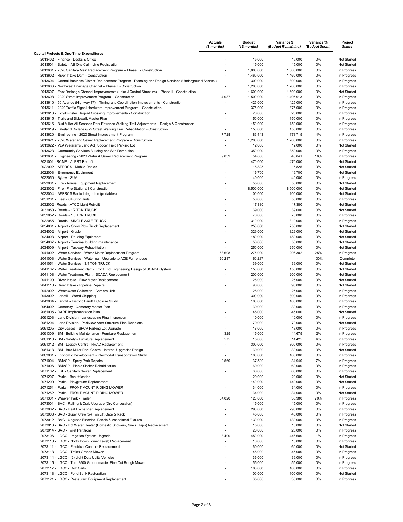|                                                                                                                                  | <b>Actuals</b><br>(3 months) | <b>Budget</b><br>(12 months) | Variance \$<br>(Budget Remaining) | Variance %<br>(Budget Spent) | Project<br><b>Status</b>   |
|----------------------------------------------------------------------------------------------------------------------------------|------------------------------|------------------------------|-----------------------------------|------------------------------|----------------------------|
| Capital Projects & One-Time Expenditures                                                                                         |                              |                              |                                   |                              |                            |
| 2013402 - Finance - Desks & Office                                                                                               |                              | 15,000                       | 15,000                            | 0%                           | Not Started                |
| 2013501 - Safety - AB One Call - Line Registration<br>2013601 - 2020 Sanitary Main Replacement Program - Phase II - Construction |                              | 15,000<br>1,800,000          | 15,000<br>1,800,000               | 0%<br>0%                     | Not Started<br>In Progress |
| 2013602 - River Intake Dam - Construction                                                                                        |                              | 1,460,000                    | 1,460,000                         | 0%                           | In Progress                |
| 2013604 - Central Business District Replacement Program - Planning and Design Services (Underground Assess.)                     |                              | 300,000                      | 300,000                           | 0%                           | In Progress                |
| 2013606 - Northwest Drainage Channel - Phase II - Construction                                                                   | ٠                            | 1,200,000                    | 1,200,000                         | 0%                           | In Progress                |
| 2013607 - East Drainage Channel Improvements (Lake J Control Structure) - Phase II - Construction                                | ٠                            | 1,600,000                    | 1,600,000                         | 0%                           | Not Started                |
| 2013608 - 2020 Street Improvement Program - Construction                                                                         | 4,087                        | 1,500,000                    | 1,495,913                         | 0%                           | In Progress                |
| 2013610 - 50 Avenue (Highway 17) - Timing and Coordination Improvements - Construction                                           |                              | 425,000                      | 425,000                           | 0%                           | In Progress                |
| 2013611 - 2020 Traffic Signal Hardware Improvement Program - Construction                                                        |                              | 375,000                      | 375,000                           | 0%                           | In Progress                |
| 2013613 - Lloydminster Helipad Crossing Improvements - Construction                                                              |                              | 20,000                       | 20,000                            | 0%                           | In Progress                |
| 2013615 - Trails and Sidewalk Master Plan                                                                                        |                              | 150,000                      | 150,000                           | 0%                           | In Progress                |
| 2013616 - Bud Miller All Seasons Park Entrance Walking Trail Adjustments - Design & Construction                                 | ٠                            | 150,000                      | 150,000                           | 0%                           | In Progress                |
| 2013619 - Lakeland College & 22 Street Walking Trail Rehabilitation - Construction                                               |                              | 150,000                      | 150,000                           | 0%                           | In Progress                |
| 2013620 - Engineering - 2020 Street Improvement Program                                                                          | 7,728                        | 186,443                      | 178,715                           | 4%                           | In Progress                |
| 2013621 - 2020 Water and Sewer Replacement Program - Construction                                                                |                              | 1,200,000                    | 1,200,000                         | 0%                           | In Progress                |
| 2013622 - VLA (Veteran's Land Act) Soccer Field Parking Lot                                                                      | ٠                            | 12,000                       | 12,000                            | 0%                           | Not Started                |
| 2013623 - Community Services Building and Site Demolition                                                                        | ÷,                           | 350,000                      | 350,000                           | 0%                           | In Progress                |
| 2013631 - Engineering - 2020 Water & Sewer Replacement Program                                                                   | 9,039                        | 54,880                       | 45,841                            | 16%                          | In Progress                |
| 2021001 - RCMP - ALERT Retrofit                                                                                                  |                              | 470,000                      | 470,000                           | 0%                           | Not Started                |
| 2022002 - AFRRCS - Mobile Radios                                                                                                 |                              | 15,825                       | 15,825                            | 0%                           | Not Started                |
| 2022003 - Emergency Equipment                                                                                                    |                              | 16,700                       | 16,700                            | 0%                           | Not Started                |
| 2022050 - Bylaw - SUV                                                                                                            |                              | 40,000                       | 40,000                            | 0%                           | In Progress                |
| 2023001 - Fire - Annual Equipment Replacement                                                                                    |                              | 55,000                       | 55,000                            | 0%                           | Not Started                |
| 2023002 - Fire - Fire Station #1 Construction                                                                                    |                              | 8,500,000                    | 8,500,000                         | 0%                           | Not Started                |
| 2023004 - AFRRCS Radio Integration (portables)                                                                                   |                              | 100,000                      | 100,000                           | 0%                           | Not Started                |
| 2031201 - Fleet - GPS for Units                                                                                                  |                              | 50,000                       | 50,000                            | 0%                           | In Progress                |
| 2032002 - Roads - ATCO Light Retrofit                                                                                            |                              | 17,380                       | 17,380                            | 0%                           | Not Started                |
| 2032050 - Roads - 1/2 TON TRUCK                                                                                                  |                              | 39,000                       | 39,000                            | 0%                           | Not Started                |
| 2032052 - Roads - 1.5 TON TRUCK                                                                                                  |                              | 70,000                       | 70,000                            | 0%                           | In Progress                |
| 2032055 - Roads - SINGLE AXLE TRUCK                                                                                              |                              | 310,000                      | 310,000                           | 0%                           | In Progress                |
| 2034001 - Airport - Snow Plow Truck Replacement                                                                                  |                              | 253,000                      | 253,000                           | 0%                           | Not Started                |
| 2034002 - Airport - Grader                                                                                                       |                              | 329,000                      | 329,000                           | 0%                           | Not Started                |
| 2034003 - Airport - De-icing Equipment                                                                                           | ÷,                           | 180,000                      | 180,000                           | 0%                           | Not Started                |
| 2034007 - Airport - Terminal building maintenance                                                                                | ٠                            | 50,000                       | 50,000                            | 0%                           | Not Started                |
| 2034009 - Airport - Taxiway Rehabilitation                                                                                       |                              | 250,000                      | 250,000                           | 0%                           | Not Started                |
| 2041002 - Water Services - Water Meter Replacement Program                                                                       | 68,698                       | 275,000                      | 206,302                           | 25%                          | In Progress                |
| 2041003 - Water Services - Watermain Upgrade to ACE Pumphouse                                                                    | 160,287                      | 160,287                      | $\blacksquare$                    | 100%                         | Complete                   |
| 2041051 - Water Services - 3/4 TON TRUCK                                                                                         |                              | 39,000                       | 39,000                            | 0%                           | Not Started                |
| 2041107 - Water Treatment Plant - Front End Engineering Design of SCADA System                                                   |                              | 150,000                      | 150,000                           | 0%                           | Not Started                |
| 2041108 - Water Treatment Plant - SCADA Replacement                                                                              |                              | 200,000                      | 200,000                           | 0%                           | Not Started                |
| 2041109 - River Intake - Flow Meter Replacement                                                                                  |                              | 25,000                       | 25,000                            | 0%                           | Not Started                |
| 2041110 - River Intake - Pipeline Repairs                                                                                        |                              | 90,000                       | 90,000                            | 0%                           | Not Started                |
| 2042002 - Wastewater Collection - Camera Unit                                                                                    |                              | 25,000                       | 25,000                            | 0%                           | In Progress                |
| 2043002 - Landfill - Wood Chipping                                                                                               |                              | 300,000                      | 300,000                           | 0%                           | In Progress                |
| 2043004 - Landfill - Historic Landfill Closure Study                                                                             |                              | 100,000                      | 100,000                           | 0%                           | In Progress                |
| 2054002 - Cemetery - Cemetery Master Plan                                                                                        |                              | 30,000                       | 30,000                            | 0%                           | In Progress                |
| 2061005 - DARP Implementation Plan                                                                                               |                              | 45,000                       | 45,000                            | 0%                           | Not Started                |
| 2061203 - Land Division - Landscaping Final Inspection                                                                           |                              | 10,000                       | 10,000                            | 0%                           | In Progress                |
| 2061204 - Land Division - Parkview Area Structure Plan Revisions                                                                 |                              | 70,000                       | 70,000                            | 0%                           | Not Started                |
| 2061205 - City Leases - SPCA Parking Lot Upgrade                                                                                 |                              | 18,000                       | 18,000                            | 0%                           | In Progress                |
| 2061309 - BM - Building Maintenance - Furniture Replacement                                                                      | 325                          | 15,000                       | 14,675                            | 2%                           | In Progress                |
| 2061310 - BM - Safety - Furniture Replacement                                                                                    | 575                          | 15,000                       | 14,425                            | 4%                           | In Progress                |
| 2061312 - BM - Legacy Centre - HVAC Replacement                                                                                  |                              | 300,000                      | 300,000                           | 0%                           | In Progress                |
| 2061313 - BM - Bud Miller Park Centre - Internal Upgrades Design                                                                 |                              | 30,000                       | 30,000                            | 0%                           | Not Started                |
| 2063001 - Economic Development - Intermodal Transportation Study                                                                 |                              | 100,000                      | 100,000                           | 0%                           | In Progress                |
| 2071004 - BMASP - Spray Park Repairs                                                                                             | 2,560                        | 37,500                       | 34,940                            | 7%                           | In Progress                |
| 2071006 - BMASP - Picnic Shelter Rehabilitation                                                                                  | ÷                            | 60,000                       | 60,000                            | 0%                           | In Progress                |
| 2071102 - LBP - Sanitary Sewer Replacement                                                                                       | ÷                            | 60,000                       | 60,000                            | 0%                           | In Progress                |
| 2071207 - Parks - Beautification                                                                                                 |                              | 20,000                       | 20,000                            | 0%                           | Not Started                |
| 2071209 - Parks - Playground Replacement                                                                                         |                              | 140,000                      | 140,000                           | 0%                           | Not Started                |
| 2071251 - Parks - FRONT MOUNT RIDING MOWER                                                                                       |                              | 34,000                       | 34,000                            | 0%                           | In Progress                |
| 2071252 - Parks - FRONT MOUNT RIDING MOWER                                                                                       | ٠                            | 34,000                       | 34,000                            | 0%                           | Not Started                |
| 2071301 - Weaver Park - Trailer                                                                                                  | 84,020                       | 120,000                      | 35,980                            | 70%                          | In Progress                |
| 2073001 - BAC - Railing & Curb Upgrade (Dry Concession)                                                                          |                              | 15,000                       | 15,000                            | 0%                           | In Progress                |
| 2073002 - BAC - Heat Exchanger Replacement                                                                                       |                              | 298,000                      | 298,000                           | 0%                           | In Progress                |
| 2073008 - BAC - Super Crew 3/4 Ton Lift Gate & Rack                                                                              |                              | 45,000                       | 45,000                            | 0%                           | In Progress                |
| 2073012 - BAC - Upgrade Electrical Panels & Associated Fixtures                                                                  |                              | 130,000                      | 130,000                           | 0%                           | In Progress                |
| 2073013 - BAC - Hot Water Heater (Domestic Showers, Sinks, Taps) Replacement                                                     | ÷                            | 15,000                       | 15,000                            | 0%                           | Not Started                |
| 2073014 - BAC - Toilet Partitions                                                                                                | ٠                            | 20,000                       | 20,000                            | 0%                           | In Progress                |
| 2073106 - LGCC - Irrigation System Upgrade                                                                                       | 3,400                        | 450,000                      | 446,600                           | 1%                           | In Progress                |
| 2073110 - LGCC - North Door (Lower Level) Replacement                                                                            |                              | 10,000                       | 10,000                            | 0%                           | In Progress                |
| 2073111 - LGCC - Electrical Controls Replacement                                                                                 |                              | 60,000                       | 60,000                            | 0%                           | Not Started                |
| 2073113 - LGCC - Triflex Greens Mower                                                                                            |                              | 45,000                       | 45,000                            | 0%                           | In Progress                |
| 2073114 - LGCC - (2) Light Duty Utility Vehicles                                                                                 |                              | 36,000                       | 36,000                            | 0%                           | In Progress                |
| 2073115 - LGCC - Toro 3500 Groundmaster Fine Cut Rough Mower                                                                     |                              | 55,000                       | 55,000                            | 0%                           | In Progress                |
| 2073117 - LGCC - Golf Carts                                                                                                      |                              | 105,000                      | 105,000                           | 0%                           | In Progress                |
| 2073118 - LGCC - Pond Bank Restoration                                                                                           |                              | 100,000                      | 100,000                           | 0%                           | Not Started                |
| 2073121 - LGCC - Restaurant Equipment Replacement                                                                                | ٠                            | 35,000                       | 35,000                            | 0%                           | In Progress                |
|                                                                                                                                  |                              |                              |                                   |                              |                            |